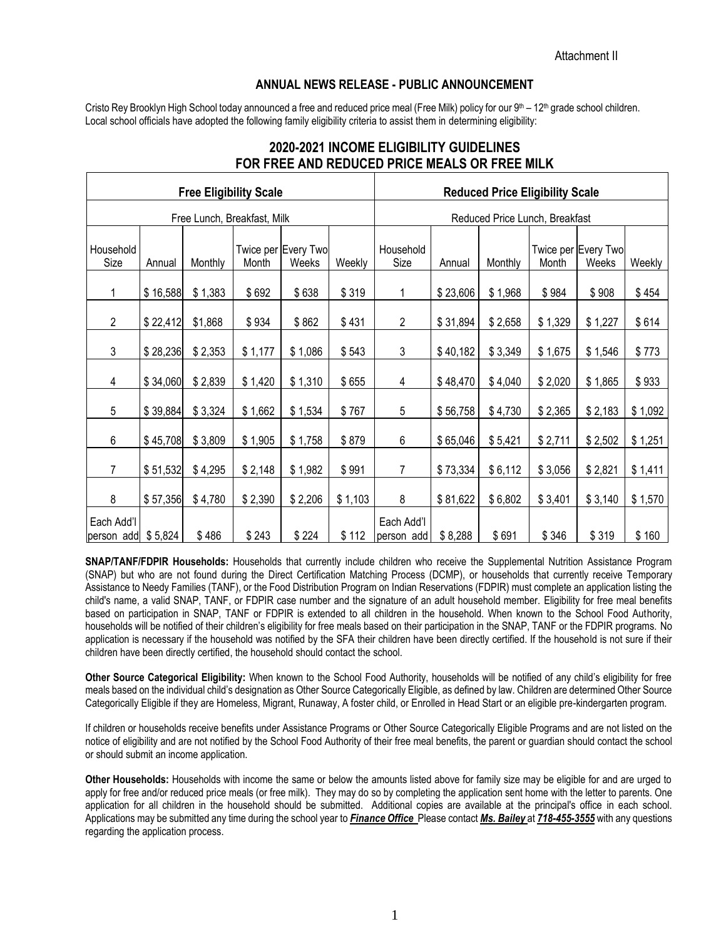## **ANNUAL NEWS RELEASE - PUBLIC ANNOUNCEMENT**

Cristo Rey Brooklyn High School today announced a free and reduced price meal (Free Milk) policy for our 9th – 12th grade school children. Local school officials have adopted the following family eligibility criteria to assist them in determining eligibility:

|                                  |          |         | <b>Free Eligibility Scale</b> |                              |         | <b>Reduced Price Eligibility Scale</b> |          |         |         |                              |         |
|----------------------------------|----------|---------|-------------------------------|------------------------------|---------|----------------------------------------|----------|---------|---------|------------------------------|---------|
| Free Lunch, Breakfast, Milk      |          |         |                               |                              |         | Reduced Price Lunch, Breakfast         |          |         |         |                              |         |
| Household<br>Size                | Annual   | Monthly | Month                         | Twice per Every Two<br>Weeks | Weekly  | Household<br>Size                      | Annual   | Monthly | Month   | Twice per Every Two<br>Weeks | Weekly  |
| 1                                | \$16,588 | \$1,383 | \$692                         | \$638                        | \$319   | 1                                      | \$23,606 | \$1,968 | \$984   | \$908                        | \$454   |
| $\overline{2}$                   | \$22,412 | \$1,868 | \$934                         | \$862                        | \$431   | $\overline{2}$                         | \$31,894 | \$2,658 | \$1,329 | \$1,227                      | \$614   |
| 3                                | \$28,236 | \$2,353 | \$1,177                       | \$1,086                      | \$543   | 3                                      | \$40,182 | \$3,349 | \$1,675 | \$1,546                      | \$773   |
| 4                                | \$34,060 | \$2,839 | \$1,420                       | \$1,310                      | \$655   | 4                                      | \$48,470 | \$4,040 | \$2,020 | \$1,865                      | \$933   |
| 5                                | \$39,884 | \$3,324 | \$1,662                       | \$1,534                      | \$767   | 5                                      | \$56,758 | \$4,730 | \$2,365 | \$2,183                      | \$1,092 |
| 6                                | \$45,708 | \$3,809 | \$1,905                       | \$1,758                      | \$879   | 6                                      | \$65,046 | \$5,421 | \$2,711 | \$2,502                      | \$1,251 |
| $\overline{7}$                   | \$51,532 | \$4,295 | \$2,148                       | \$1,982                      | \$991   | 7                                      | \$73,334 | \$6,112 | \$3,056 | \$2,821                      | \$1,411 |
| 8                                | \$57,356 | \$4,780 | \$2,390                       | \$2,206                      | \$1,103 | 8                                      | \$81,622 | \$6,802 | \$3,401 | \$3,140                      | \$1,570 |
| Each Add'l<br>person add \$5,824 |          | \$486   | \$243                         | \$224                        | \$112   | Each Add'l<br>person add               | \$8,288  | \$691   | \$346   | \$319                        | \$160   |

## **2020-2021 INCOME ELIGIBILITY GUIDELINES FOR FREE AND REDUCED PRICE MEALS OR FREE MILK**

**SNAP/TANF/FDPIR Households:** Households that currently include children who receive the Supplemental Nutrition Assistance Program (SNAP) but who are not found during the Direct Certification Matching Process (DCMP), or households that currently receive Temporary Assistance to Needy Families (TANF), or the Food Distribution Program on Indian Reservations (FDPIR) must complete an application listing the child's name, a valid SNAP, TANF, or FDPIR case number and the signature of an adult household member. Eligibility for free meal benefits based on participation in SNAP, TANF or FDPIR is extended to all children in the household. When known to the School Food Authority, households will be notified of their children's eligibility for free meals based on their participation in the SNAP, TANF or the FDPIR programs. No application is necessary if the household was notified by the SFA their children have been directly certified. If the household is not sure if their children have been directly certified, the household should contact the school.

**Other Source Categorical Eligibility:** When known to the School Food Authority, households will be notified of any child's eligibility for free meals based on the individual child's designation as Other Source Categorically Eligible, as defined by law. Children are determined Other Source Categorically Eligible if they are Homeless, Migrant, Runaway, A foster child, or Enrolled in Head Start or an eligible pre-kindergarten program.

If children or households receive benefits under Assistance Programs or Other Source Categorically Eligible Programs and are not listed on the notice of eligibility and are not notified by the School Food Authority of their free meal benefits, the parent or guardian should contact the school or should submit an income application.

**Other Households:** Households with income the same or below the amounts listed above for family size may be eligible for and are urged to apply for free and/or reduced price meals (or free milk). They may do so by completing the application sent home with the letter to parents. One application for all children in the household should be submitted. Additional copies are available at the principal's office in each school. Applications may be submitted any time during the school year to *Finance Office* Please contact *Ms. Bailey* at *718-455-3555* with any questions regarding the application process.